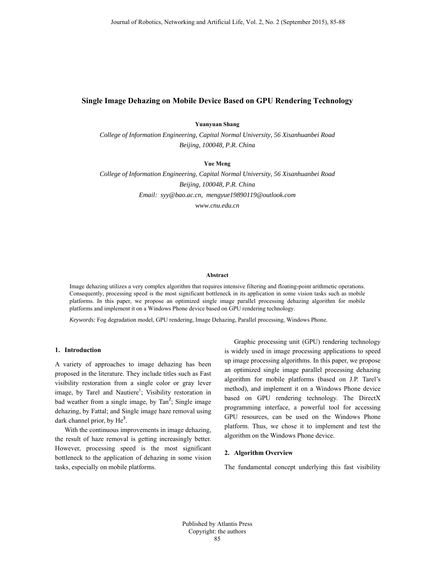# **Single Image Dehazing on Mobile Device Based on GPU Rendering Technology**

# **Yuanyuan Shang**

*College of Information Engineering, Capital Normal University, 56 Xisanhuanbei Road Beijing, 100048, P.R. China* 

### **Yue Meng**

*College of Information Engineering, Capital Normal University, 56 Xisanhuanbei Road Beijing, 100048, P.R. China Email: syy@bao.ac.cn, mengyue19890119@outlook.com* 

*www.cnu.edu.cn* 

#### **Abstract**

Image dehazing utilizes a very complex algorithm that requires intensive filtering and floating-point arithmetic operations. Consequently, processing speed is the most significant bottleneck in its application in some vision tasks such as mobile platforms. In this paper, we propose an optimized single image parallel processing dehazing algorithm for mobile platforms and implement it on a Windows Phone device based on GPU rendering technology.

*Keywords:* Fog degradation model, GPU rendering, Image Dehazing, Parallel processing, Windows Phone*.* 

## **1. Introduction**

A variety of approaches to image dehazing has been proposed in the literature. They include titles such as Fast visibility restoration from a single color or gray lever image, by Tarel and Nautiere<sup>1</sup>; Visibility restoration in bad weather from a single image, by  $Tan<sup>2</sup>$ ; Single image dehazing, by Fattal; and Single image haze removal using dark channel prior, by  $He<sup>3</sup>$ .

With the continuous improvements in image dehazing, the result of haze removal is getting increasingly better. However, processing speed is the most significant bottleneck to the application of dehazing in some vision tasks, especially on mobile platforms.

Graphic processing unit (GPU) rendering technology is widely used in image processing applications to speed up image processing algorithms. In this paper, we propose an optimized single image parallel processing dehazing algorithm for mobile platforms (based on J.P. Tarel's method), and implement it on a Windows Phone device based on GPU rendering technology. The DirectX programming interface, a powerful tool for accessing GPU resources, can be used on the Windows Phone platform. Thus, we chose it to implement and test the algorithm on the Windows Phone device.

#### **2. Algorithm Overview**

The fundamental concept underlying this fast visibility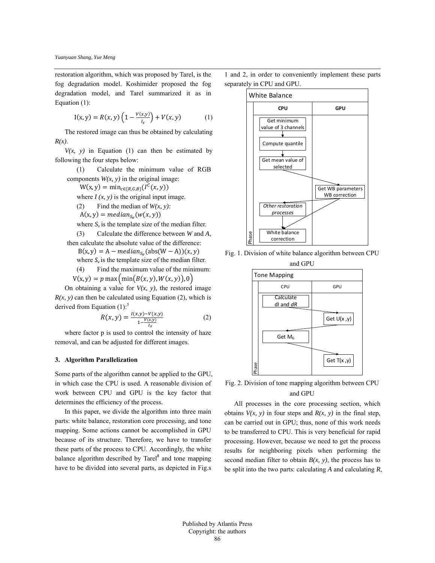restoration algorithm, which was proposed by Tarel, is the fog degradation model. Koshimider proposed the fog degradation model, and Tarel summarized it as in Equation (1):

$$
I(x, y) = R(x, y) \left( 1 - \frac{V(x, y)}{I_s} \right) + V(x, y) \tag{1}
$$

The restored image can thus be obtained by calculating *R(x)*.

 $V(x, y)$  in Equation (1) can then be estimated by following the four steps below:

(1) Calculate the minimum value of RGB components  $W(x, y)$  in the original image:

 $W(x, y) = min_{c \in \{R, G, B\}}(I^C(x, y))$ 

where  $I(x, y)$  is the original input image.

(2) Find the median of  $W(x, y)$ :

 $A(x, y) = median_{S_n}(w(x, y))$ 

where  $S_{\nu}$  is the template size of the median filter.

(3) Calculate the difference between *W* and *A*, then calculate the absolute value of the difference:

 $B(x, y) = A - median_{S_n} (abs(W - A))(x, y)$ 

where  $S_v$  is the template size of the median filter.

(4) Find the maximum value of the minimum:

 $V(x, y) = p \max \left( \min(B(x, y), W(x, y)), 0 \right)$ 

On obtaining a value for  $V(x, y)$ , the restored image  $R(x, y)$  can then be calculated using Equation (2), which is derived from Equation  $(1)$ .<sup>5</sup>

$$
R(x, y) = \frac{I(x, y) - V(x, y)}{1 - \frac{V(x, y)}{I_s}}
$$
 (2)

where factor p is used to control the intensity of haze removal, and can be adjusted for different images.

#### **3. Algorithm Parallelization**

Some parts of the algorithm cannot be applied to the GPU, in which case the CPU is used. A reasonable division of work between CPU and GPU is the key factor that determines the efficiency of the process.

In this paper, we divide the algorithm into three main parts: white balance, restoration core processing, and tone mapping. Some actions cannot be accomplished in GPU because of its structure. Therefore, we have to transfer these parts of the process to CPU. Accordingly, the white balance algorithm described by Tarel<sup>8</sup> and tone mapping have to be divided into several parts, as depicted in Fig.s

1 and 2, in order to conveniently implement these parts separately in CPU and GPU.



Fig. 1. Division of white balance algorithm between CPU



Fig. 2. Division of tone mapping algorithm between CPU and GPU

All processes in the core processing section, which obtains  $V(x, y)$  in four steps and  $R(x, y)$  in the final step, can be carried out in GPU; thus, none of this work needs to be transferred to CPU. This is very beneficial for rapid processing. However, because we need to get the process results for neighboring pixels when performing the second median filter to obtain  $B(x, y)$ , the process has to be split into the two parts: calculating *A* and calculating *R*,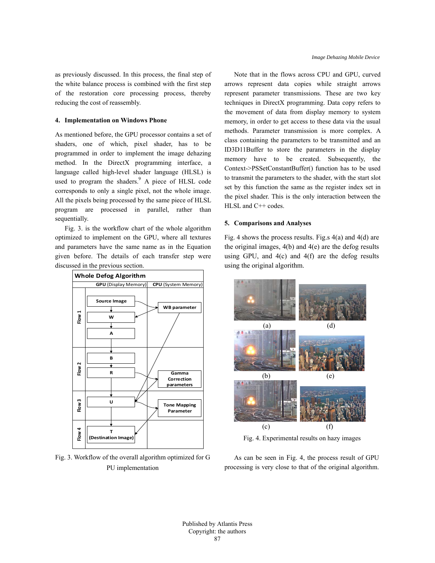as previously discussed. In this process, the final step of the white balance process is combined with the first step of the restoration core processing process, thereby reducing the cost of reassembly.

### **4. Implementation on Windows Phone**

As mentioned before, the GPU processor contains a set of shaders, one of which, pixel shader, has to be programmed in order to implement the image dehazing method. In the DirectX programming interface, a language called high-level shader language (HLSL) is used to program the shaders.<sup>9</sup> A piece of HLSL code corresponds to only a single pixel, not the whole image. All the pixels being processed by the same piece of HLSL program are processed in parallel, rather than sequentially.

Fig. 3. is the workflow chart of the whole algorithm optimized to implement on the GPU, where all textures and parameters have the same name as in the Equation given before. The details of each transfer step were discussed in the previous section.



Fig. 3. Workflow of the overall algorithm optimized for G PU implementation

Note that in the flows across CPU and GPU, curved arrows represent data copies while straight arrows represent parameter transmissions. These are two key techniques in DirectX programming. Data copy refers to the movement of data from display memory to system memory, in order to get access to these data via the usual methods. Parameter transmission is more complex. A class containing the parameters to be transmitted and an ID3D11Buffer to store the parameters in the display memory have to be created. Subsequently, the Context->PSSetConstantBuffer() function has to be used to transmit the parameters to the shader, with the start slot set by this function the same as the register index set in the pixel shader. This is the only interaction between the HLSL and C++ codes.

### **5. Comparisons and Analyses**

Fig. 4 shows the process results. Fig.s 4(a) and 4(d) are the original images,  $4(b)$  and  $4(e)$  are the defog results using GPU, and  $4(c)$  and  $4(f)$  are the defog results using the original algorithm.



Fig. 4. Experimental results on hazy images

As can be seen in Fig. 4, the process result of GPU processing is very close to that of the original algorithm.